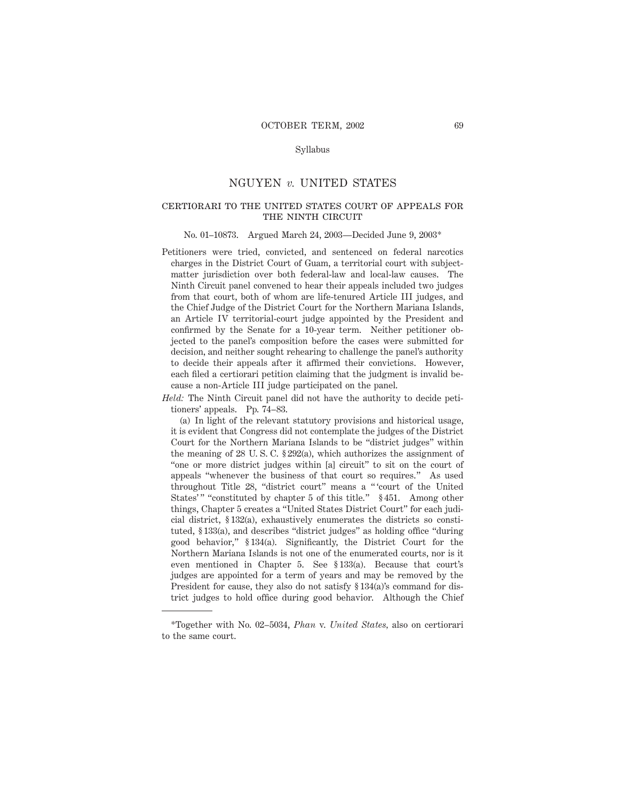### Syllabus

## NGUYEN *v.* UNITED STATES

# certiorari to the united states court of appeals for THE NINTH CIRCUIT

#### No. 01–10873. Argued March 24, 2003—Decided June 9, 2003\*

Petitioners were tried, convicted, and sentenced on federal narcotics charges in the District Court of Guam, a territorial court with subjectmatter jurisdiction over both federal-law and local-law causes. The Ninth Circuit panel convened to hear their appeals included two judges from that court, both of whom are life-tenured Article III judges, and the Chief Judge of the District Court for the Northern Mariana Islands, an Article IV territorial-court judge appointed by the President and confirmed by the Senate for a 10-year term. Neither petitioner objected to the panel's composition before the cases were submitted for decision, and neither sought rehearing to challenge the panel's authority to decide their appeals after it affirmed their convictions. However, each filed a certiorari petition claiming that the judgment is invalid because a non-Article III judge participated on the panel.

*Held:* The Ninth Circuit panel did not have the authority to decide petitioners' appeals. Pp. 74–83.

(a) In light of the relevant statutory provisions and historical usage, it is evident that Congress did not contemplate the judges of the District Court for the Northern Mariana Islands to be "district judges" within the meaning of 28 U. S. C. § 292(a), which authorizes the assignment of "one or more district judges within [a] circuit" to sit on the court of appeals "whenever the business of that court so requires." As used throughout Title 28, "district court" means a " 'court of the United States'" "constituted by chapter 5 of this title." § 451. Among other things, Chapter 5 creates a "United States District Court" for each judicial district, § 132(a), exhaustively enumerates the districts so constituted, § 133(a), and describes "district judges" as holding office "during good behavior," § 134(a). Significantly, the District Court for the Northern Mariana Islands is not one of the enumerated courts, nor is it even mentioned in Chapter 5. See § 133(a). Because that court's judges are appointed for a term of years and may be removed by the President for cause, they also do not satisfy § 134(a)'s command for district judges to hold office during good behavior. Although the Chief

<sup>\*</sup>Together with No. 02–5034, *Phan* v. *United States,* also on certiorari to the same court.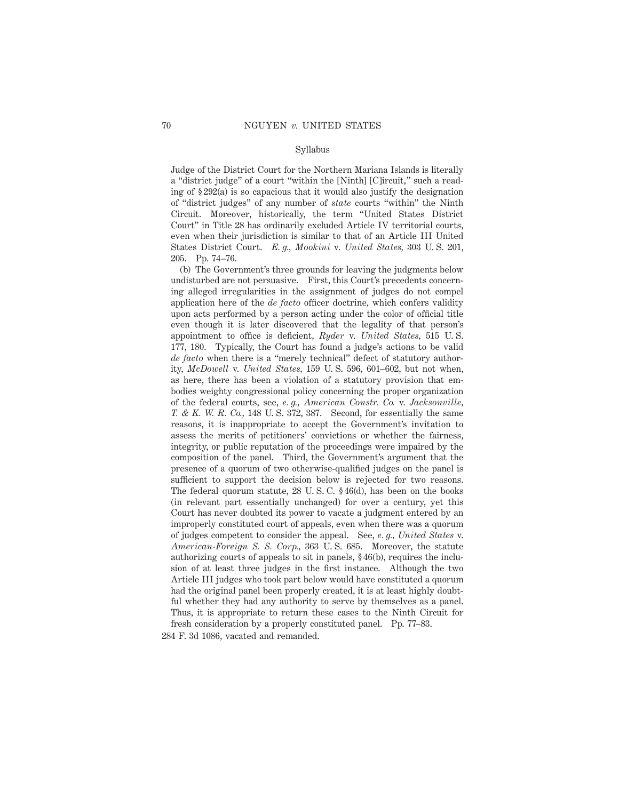#### Syllabus

Judge of the District Court for the Northern Mariana Islands is literally a "district judge" of a court "within the [Ninth] [C]ircuit," such a reading of § 292(a) is so capacious that it would also justify the designation of "district judges" of any number of *state* courts "within" the Ninth Circuit. Moreover, historically, the term "United States District Court" in Title 28 has ordinarily excluded Article IV territorial courts, even when their jurisdiction is similar to that of an Article III United States District Court. *E. g., Mookini* v. *United States,* 303 U. S. 201, 205. Pp. 74–76.

(b) The Government's three grounds for leaving the judgments below undisturbed are not persuasive. First, this Court's precedents concerning alleged irregularities in the assignment of judges do not compel application here of the *de facto* officer doctrine, which confers validity upon acts performed by a person acting under the color of official title even though it is later discovered that the legality of that person's appointment to office is deficient, *Ryder* v. *United States,* 515 U. S. 177, 180. Typically, the Court has found a judge's actions to be valid *de facto* when there is a "merely technical" defect of statutory authority, *McDowell* v. *United States,* 159 U. S. 596, 601–602, but not when, as here, there has been a violation of a statutory provision that embodies weighty congressional policy concerning the proper organization of the federal courts, see, *e. g., American Constr. Co.* v. *Jacksonville, T. & K. W. R. Co.,* 148 U. S. 372, 387. Second, for essentially the same reasons, it is inappropriate to accept the Government's invitation to assess the merits of petitioners' convictions or whether the fairness, integrity, or public reputation of the proceedings were impaired by the composition of the panel. Third, the Government's argument that the presence of a quorum of two otherwise-qualified judges on the panel is sufficient to support the decision below is rejected for two reasons. The federal quorum statute, 28 U. S. C. § 46(d), has been on the books (in relevant part essentially unchanged) for over a century, yet this Court has never doubted its power to vacate a judgment entered by an improperly constituted court of appeals, even when there was a quorum of judges competent to consider the appeal. See, *e. g., United States* v. *American-Foreign S. S. Corp.,* 363 U. S. 685. Moreover, the statute authorizing courts of appeals to sit in panels, § 46(b), requires the inclusion of at least three judges in the first instance. Although the two Article III judges who took part below would have constituted a quorum had the original panel been properly created, it is at least highly doubtful whether they had any authority to serve by themselves as a panel. Thus, it is appropriate to return these cases to the Ninth Circuit for

fresh consideration by a properly constituted panel. Pp. 77–83. 284 F. 3d 1086, vacated and remanded.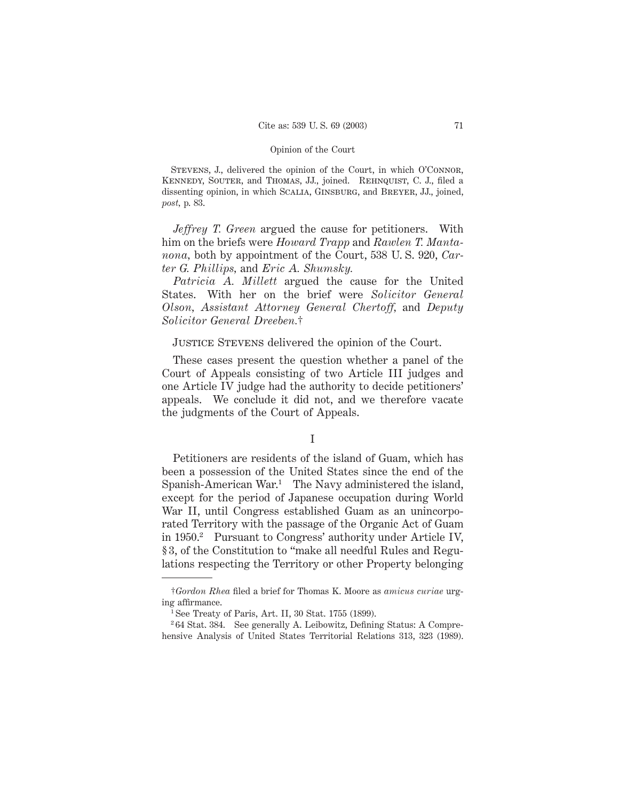STEVENS, J., delivered the opinion of the Court, in which O'CONNOR, Kennedy, Souter, and Thomas, JJ., joined. Rehnquist, C. J., filed a dissenting opinion, in which Scalia, Ginsburg, and Breyer, JJ., joined, *post,* p. 83.

*Jeffrey T. Green* argued the cause for petitioners. With him on the briefs were *Howard Trapp* and *Rawlen T. Mantanona,* both by appointment of the Court, 538 U. S. 920, *Carter G. Phillips,* and *Eric A. Shumsky.*

*Patricia A. Millett* argued the cause for the United States. With her on the brief were *Solicitor General Olson, Assistant Attorney General Chertoff,* and *Deputy Solicitor General Dreeben.*†

Justice Stevens delivered the opinion of the Court.

These cases present the question whether a panel of the Court of Appeals consisting of two Article III judges and one Article IV judge had the authority to decide petitioners' appeals. We conclude it did not, and we therefore vacate the judgments of the Court of Appeals.

Petitioners are residents of the island of Guam, which has been a possession of the United States since the end of the Spanish-American War.1 The Navy administered the island, except for the period of Japanese occupation during World War II, until Congress established Guam as an unincorporated Territory with the passage of the Organic Act of Guam in 1950.2 Pursuant to Congress' authority under Article IV, § 3, of the Constitution to "make all needful Rules and Regulations respecting the Territory or other Property belonging

I

<sup>†</sup>*Gordon Rhea* filed a brief for Thomas K. Moore as *amicus curiae* urging affirmance.

<sup>&</sup>lt;sup>1</sup> See Treaty of Paris, Art. II, 30 Stat.  $1755$  (1899).

<sup>2</sup> 64 Stat. 384. See generally A. Leibowitz, Defining Status: A Comprehensive Analysis of United States Territorial Relations 313, 323 (1989).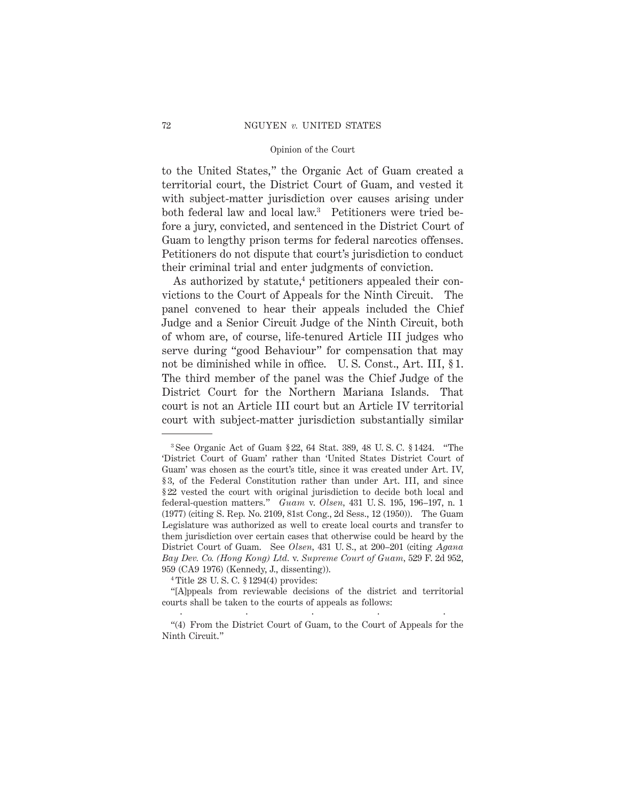to the United States," the Organic Act of Guam created a territorial court, the District Court of Guam, and vested it with subject-matter jurisdiction over causes arising under both federal law and local law.3 Petitioners were tried before a jury, convicted, and sentenced in the District Court of Guam to lengthy prison terms for federal narcotics offenses. Petitioners do not dispute that court's jurisdiction to conduct their criminal trial and enter judgments of conviction.

As authorized by statute, $4$  petitioners appealed their convictions to the Court of Appeals for the Ninth Circuit. The panel convened to hear their appeals included the Chief Judge and a Senior Circuit Judge of the Ninth Circuit, both of whom are, of course, life-tenured Article III judges who serve during "good Behaviour" for compensation that may not be diminished while in office. U.S. Const., Art. III, §1. The third member of the panel was the Chief Judge of the District Court for the Northern Mariana Islands. That court is not an Article III court but an Article IV territorial court with subject-matter jurisdiction substantially similar

<sup>3</sup> See Organic Act of Guam § 22, 64 Stat. 389, 48 U. S. C. § 1424. "The 'District Court of Guam' rather than 'United States District Court of Guam' was chosen as the court's title, since it was created under Art. IV, § 3, of the Federal Constitution rather than under Art. III, and since § 22 vested the court with original jurisdiction to decide both local and federal-question matters." *Guam* v. *Olsen,* 431 U. S. 195, 196–197, n. 1 (1977) (citing S. Rep. No. 2109, 81st Cong., 2d Sess., 12 (1950)). The Guam Legislature was authorized as well to create local courts and transfer to them jurisdiction over certain cases that otherwise could be heard by the District Court of Guam. See *Olsen,* 431 U. S., at 200–201 (citing *Agana Bay Dev. Co. (Hong Kong) Ltd.* v. *Supreme Court of Guam,* 529 F. 2d 952, 959 (CA9 1976) (Kennedy, J., dissenting)).

<sup>4</sup> Title 28 U. S. C. § 1294(4) provides:

<sup>&</sup>quot;[A]ppeals from reviewable decisions of the district and territorial courts shall be taken to the courts of appeals as follows: .....

<sup>&</sup>quot;(4) From the District Court of Guam, to the Court of Appeals for the Ninth Circuit."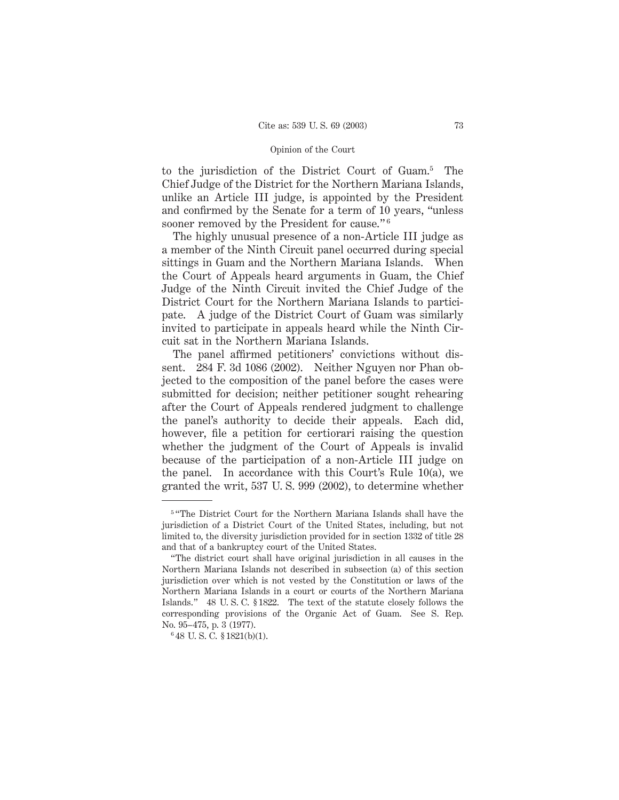to the jurisdiction of the District Court of Guam.5 The Chief Judge of the District for the Northern Mariana Islands, unlike an Article III judge, is appointed by the President and confirmed by the Senate for a term of 10 years, "unless sooner removed by the President for cause."<sup>6</sup>

The highly unusual presence of a non-Article III judge as a member of the Ninth Circuit panel occurred during special sittings in Guam and the Northern Mariana Islands. When the Court of Appeals heard arguments in Guam, the Chief Judge of the Ninth Circuit invited the Chief Judge of the District Court for the Northern Mariana Islands to participate. A judge of the District Court of Guam was similarly invited to participate in appeals heard while the Ninth Circuit sat in the Northern Mariana Islands.

The panel affirmed petitioners' convictions without dissent. 284 F. 3d 1086 (2002). Neither Nguyen nor Phan objected to the composition of the panel before the cases were submitted for decision; neither petitioner sought rehearing after the Court of Appeals rendered judgment to challenge the panel's authority to decide their appeals. Each did, however, file a petition for certiorari raising the question whether the judgment of the Court of Appeals is invalid because of the participation of a non-Article III judge on the panel. In accordance with this Court's Rule 10(a), we granted the writ, 537 U. S. 999 (2002), to determine whether

<sup>5</sup> "The District Court for the Northern Mariana Islands shall have the jurisdiction of a District Court of the United States, including, but not limited to, the diversity jurisdiction provided for in section 1332 of title 28 and that of a bankruptcy court of the United States.

<sup>&</sup>quot;The district court shall have original jurisdiction in all causes in the Northern Mariana Islands not described in subsection (a) of this section jurisdiction over which is not vested by the Constitution or laws of the Northern Mariana Islands in a court or courts of the Northern Mariana Islands." 48 U. S. C. § 1822. The text of the statute closely follows the corresponding provisions of the Organic Act of Guam. See S. Rep. No. 95–475, p. 3 (1977).

<sup>6</sup> 48 U. S. C. § 1821(b)(1).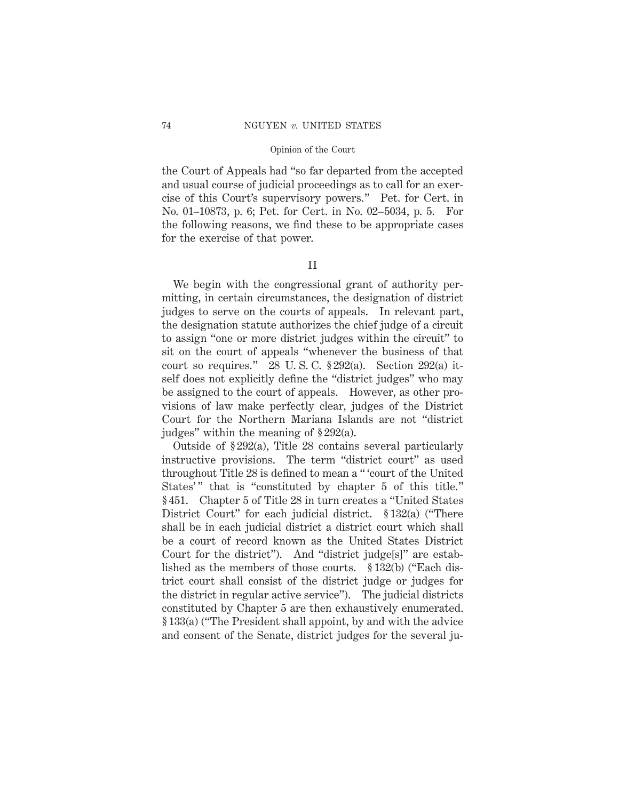the Court of Appeals had "so far departed from the accepted and usual course of judicial proceedings as to call for an exercise of this Court's supervisory powers." Pet. for Cert. in No. 01–10873, p. 6; Pet. for Cert. in No. 02–5034, p. 5. For the following reasons, we find these to be appropriate cases for the exercise of that power.

### II

We begin with the congressional grant of authority permitting, in certain circumstances, the designation of district judges to serve on the courts of appeals. In relevant part, the designation statute authorizes the chief judge of a circuit to assign "one or more district judges within the circuit" to sit on the court of appeals "whenever the business of that court so requires." 28 U. S. C. § 292(a). Section 292(a) itself does not explicitly define the "district judges" who may be assigned to the court of appeals. However, as other provisions of law make perfectly clear, judges of the District Court for the Northern Mariana Islands are not "district judges" within the meaning of § 292(a).

Outside of § 292(a), Title 28 contains several particularly instructive provisions. The term "district court" as used throughout Title 28 is defined to mean a " 'court of the United States'" that is "constituted by chapter 5 of this title." § 451. Chapter 5 of Title 28 in turn creates a "United States District Court" for each judicial district. § 132(a) ("There shall be in each judicial district a district court which shall be a court of record known as the United States District Court for the district"). And "district judge[s]" are established as the members of those courts. § 132(b) ("Each district court shall consist of the district judge or judges for the district in regular active service"). The judicial districts constituted by Chapter 5 are then exhaustively enumerated. § 133(a) ("The President shall appoint, by and with the advice and consent of the Senate, district judges for the several ju-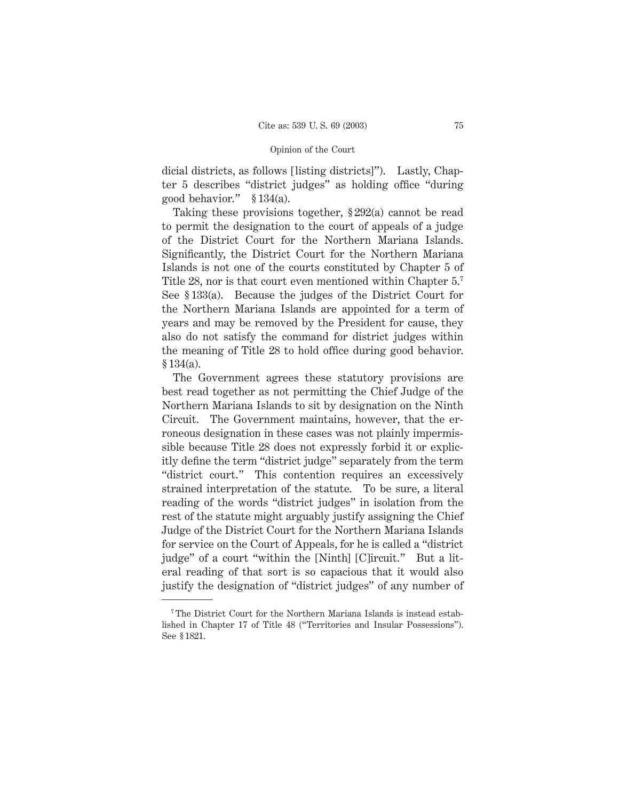dicial districts, as follows [listing districts]"). Lastly, Chapter 5 describes "district judges" as holding office "during good behavior." § 134(a).

Taking these provisions together, § 292(a) cannot be read to permit the designation to the court of appeals of a judge of the District Court for the Northern Mariana Islands. Significantly, the District Court for the Northern Mariana Islands is not one of the courts constituted by Chapter 5 of Title 28, nor is that court even mentioned within Chapter  $5<sup>7</sup>$ See § 133(a). Because the judges of the District Court for the Northern Mariana Islands are appointed for a term of years and may be removed by the President for cause, they also do not satisfy the command for district judges within the meaning of Title 28 to hold office during good behavior. § 134(a).

The Government agrees these statutory provisions are best read together as not permitting the Chief Judge of the Northern Mariana Islands to sit by designation on the Ninth Circuit. The Government maintains, however, that the erroneous designation in these cases was not plainly impermissible because Title 28 does not expressly forbid it or explicitly define the term "district judge" separately from the term "district court." This contention requires an excessively strained interpretation of the statute. To be sure, a literal reading of the words "district judges" in isolation from the rest of the statute might arguably justify assigning the Chief Judge of the District Court for the Northern Mariana Islands for service on the Court of Appeals, for he is called a "district judge" of a court "within the [Ninth] [C]ircuit." But a literal reading of that sort is so capacious that it would also justify the designation of "district judges" of any number of

<sup>&</sup>lt;sup>7</sup> The District Court for the Northern Mariana Islands is instead established in Chapter 17 of Title 48 ("Territories and Insular Possessions"). See § 1821.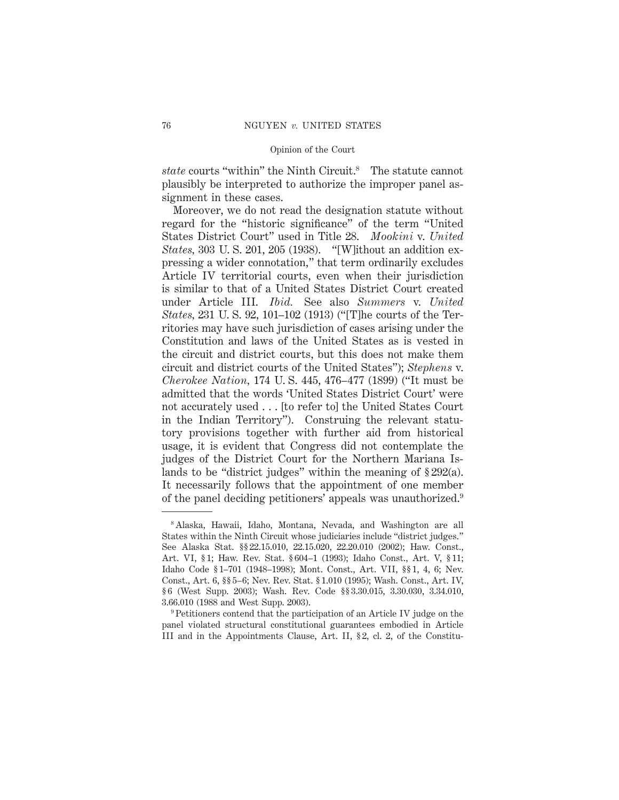*state* courts "within" the Ninth Circuit.8 The statute cannot plausibly be interpreted to authorize the improper panel assignment in these cases.

Moreover, we do not read the designation statute without regard for the "historic significance" of the term "United States District Court" used in Title 28. *Mookini* v. *United States,* 303 U. S. 201, 205 (1938). "[W]ithout an addition expressing a wider connotation," that term ordinarily excludes Article IV territorial courts, even when their jurisdiction is similar to that of a United States District Court created under Article III. *Ibid.* See also *Summers* v. *United States,* 231 U. S. 92, 101–102 (1913) ("[T]he courts of the Territories may have such jurisdiction of cases arising under the Constitution and laws of the United States as is vested in the circuit and district courts, but this does not make them circuit and district courts of the United States"); *Stephens* v. *Cherokee Nation,* 174 U. S. 445, 476–477 (1899) ("It must be admitted that the words 'United States District Court' were not accurately used . . . [to refer to] the United States Court in the Indian Territory"). Construing the relevant statutory provisions together with further aid from historical usage, it is evident that Congress did not contemplate the judges of the District Court for the Northern Mariana Islands to be "district judges" within the meaning of § 292(a). It necessarily follows that the appointment of one member of the panel deciding petitioners' appeals was unauthorized.9

<sup>8</sup> Alaska, Hawaii, Idaho, Montana, Nevada, and Washington are all States within the Ninth Circuit whose judiciaries include "district judges." See Alaska Stat. §§ 22.15.010, 22.15.020, 22.20.010 (2002); Haw. Const., Art. VI, § 1; Haw. Rev. Stat. § 604–1 (1993); Idaho Const., Art. V, § 11; Idaho Code § 1–701 (1948–1998); Mont. Const., Art. VII, §§ 1, 4, 6; Nev. Const., Art. 6, §§ 5–6; Nev. Rev. Stat. § 1.010 (1995); Wash. Const., Art. IV, § 6 (West Supp. 2003); Wash. Rev. Code §§ 3.30.015, 3.30.030, 3.34.010, 3.66.010 (1988 and West Supp. 2003).

<sup>9</sup> Petitioners contend that the participation of an Article IV judge on the panel violated structural constitutional guarantees embodied in Article III and in the Appointments Clause, Art. II, § 2, cl. 2, of the Constitu-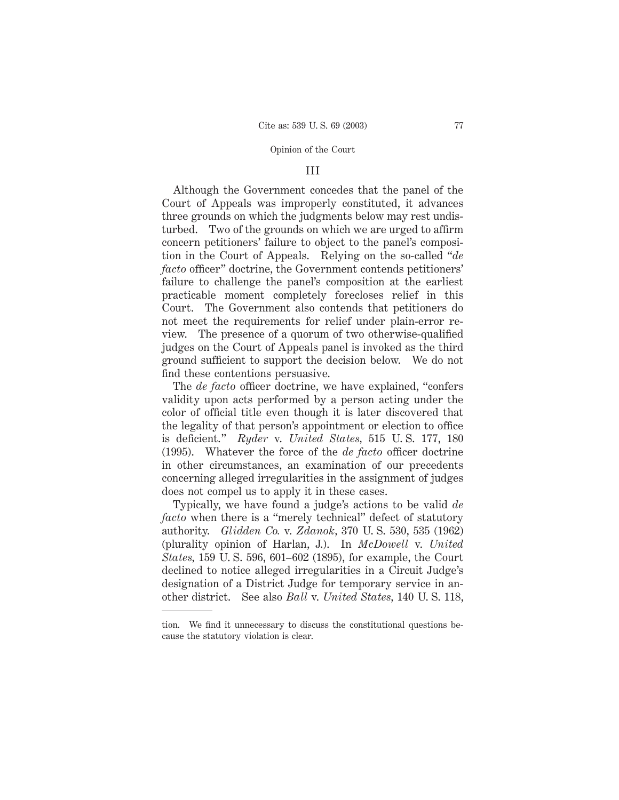### III

Although the Government concedes that the panel of the Court of Appeals was improperly constituted, it advances three grounds on which the judgments below may rest undisturbed. Two of the grounds on which we are urged to affirm concern petitioners' failure to object to the panel's composition in the Court of Appeals. Relying on the so-called "*de facto* officer" doctrine, the Government contends petitioners' failure to challenge the panel's composition at the earliest practicable moment completely forecloses relief in this Court. The Government also contends that petitioners do not meet the requirements for relief under plain-error review. The presence of a quorum of two otherwise-qualified judges on the Court of Appeals panel is invoked as the third ground sufficient to support the decision below. We do not find these contentions persuasive.

The *de facto* officer doctrine, we have explained, "confers validity upon acts performed by a person acting under the color of official title even though it is later discovered that the legality of that person's appointment or election to office is deficient." *Ryder* v. *United States,* 515 U. S. 177, 180 (1995). Whatever the force of the *de facto* officer doctrine in other circumstances, an examination of our precedents concerning alleged irregularities in the assignment of judges does not compel us to apply it in these cases.

Typically, we have found a judge's actions to be valid *de facto* when there is a "merely technical" defect of statutory authority. *Glidden Co.* v. *Zdanok,* 370 U. S. 530, 535 (1962) (plurality opinion of Harlan, J.). In *McDowell* v. *United States,* 159 U. S. 596, 601–602 (1895), for example, the Court declined to notice alleged irregularities in a Circuit Judge's designation of a District Judge for temporary service in another district. See also *Ball* v. *United States,* 140 U. S. 118,

tion. We find it unnecessary to discuss the constitutional questions because the statutory violation is clear.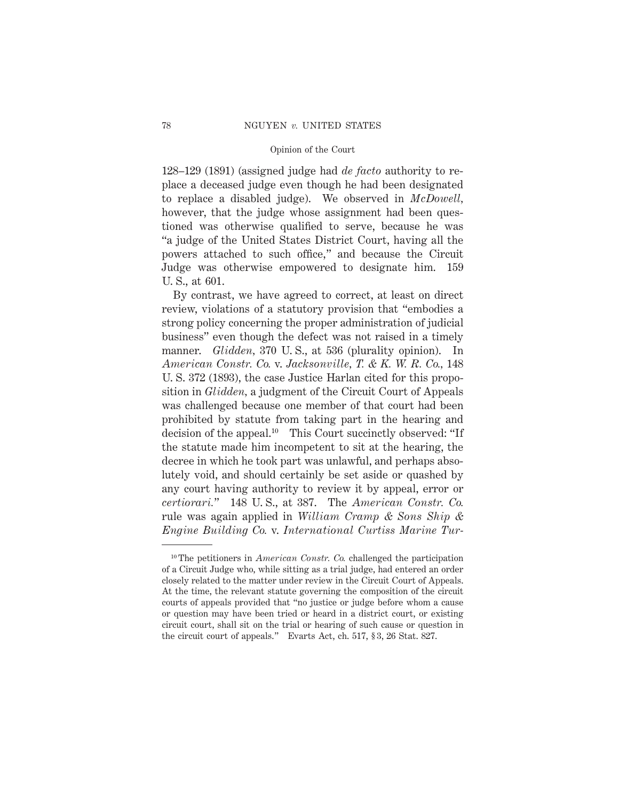128–129 (1891) (assigned judge had *de facto* authority to replace a deceased judge even though he had been designated to replace a disabled judge). We observed in *McDowell,* however, that the judge whose assignment had been questioned was otherwise qualified to serve, because he was "a judge of the United States District Court, having all the powers attached to such office," and because the Circuit Judge was otherwise empowered to designate him. 159 U. S., at 601.

By contrast, we have agreed to correct, at least on direct review, violations of a statutory provision that "embodies a strong policy concerning the proper administration of judicial business" even though the defect was not raised in a timely manner. *Glidden,* 370 U. S., at 536 (plurality opinion). In *American Constr. Co.* v. *Jacksonville, T. & K. W. R. Co.,* 148 U. S. 372 (1893), the case Justice Harlan cited for this proposition in *Glidden,* a judgment of the Circuit Court of Appeals was challenged because one member of that court had been prohibited by statute from taking part in the hearing and decision of the appeal.<sup>10</sup> This Court succinctly observed: "If the statute made him incompetent to sit at the hearing, the decree in which he took part was unlawful, and perhaps absolutely void, and should certainly be set aside or quashed by any court having authority to review it by appeal, error or *certiorari.*" 148 U. S., at 387. The *American Constr. Co.* rule was again applied in *William Cramp & Sons Ship & Engine Building Co.* v. *International Curtiss Marine Tur-*

<sup>10</sup> The petitioners in *American Constr. Co.* challenged the participation of a Circuit Judge who, while sitting as a trial judge, had entered an order closely related to the matter under review in the Circuit Court of Appeals. At the time, the relevant statute governing the composition of the circuit courts of appeals provided that "no justice or judge before whom a cause or question may have been tried or heard in a district court, or existing circuit court, shall sit on the trial or hearing of such cause or question in the circuit court of appeals." Evarts Act, ch. 517, § 3, 26 Stat. 827.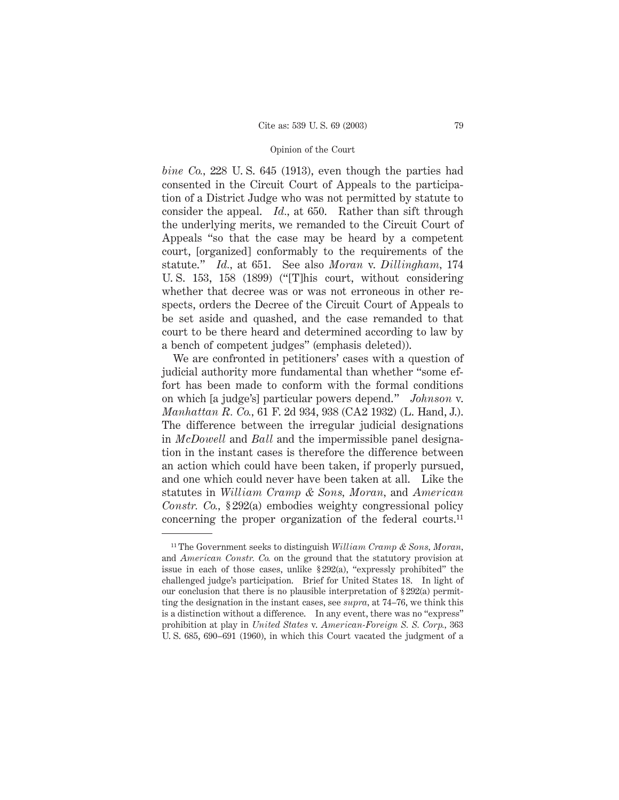*bine Co.,* 228 U. S. 645 (1913), even though the parties had consented in the Circuit Court of Appeals to the participation of a District Judge who was not permitted by statute to consider the appeal. *Id.,* at 650. Rather than sift through the underlying merits, we remanded to the Circuit Court of Appeals "so that the case may be heard by a competent court, [organized] conformably to the requirements of the statute." *Id.,* at 651. See also *Moran* v. *Dillingham,* 174 U. S. 153, 158 (1899) ("[T]his court, without considering whether that decree was or was not erroneous in other respects, orders the Decree of the Circuit Court of Appeals to be set aside and quashed, and the case remanded to that court to be there heard and determined according to law by a bench of competent judges" (emphasis deleted)).

We are confronted in petitioners' cases with a question of judicial authority more fundamental than whether "some effort has been made to conform with the formal conditions on which [a judge's] particular powers depend." *Johnson* v. *Manhattan R. Co.,* 61 F. 2d 934, 938 (CA2 1932) (L. Hand, J.). The difference between the irregular judicial designations in *McDowell* and *Ball* and the impermissible panel designation in the instant cases is therefore the difference between an action which could have been taken, if properly pursued, and one which could never have been taken at all. Like the statutes in *William Cramp & Sons, Moran,* and *American Constr. Co.,* § 292(a) embodies weighty congressional policy concerning the proper organization of the federal courts.11

<sup>11</sup> The Government seeks to distinguish *William Cramp & Sons, Moran,* and *American Constr. Co.* on the ground that the statutory provision at issue in each of those cases, unlike § 292(a), "expressly prohibited" the challenged judge's participation. Brief for United States 18. In light of our conclusion that there is no plausible interpretation of  $\S 292(a)$  permitting the designation in the instant cases, see *supra,* at 74–76, we think this is a distinction without a difference. In any event, there was no "express" prohibition at play in *United States* v. *American-Foreign S. S. Corp.,* 363 U. S. 685, 690–691 (1960), in which this Court vacated the judgment of a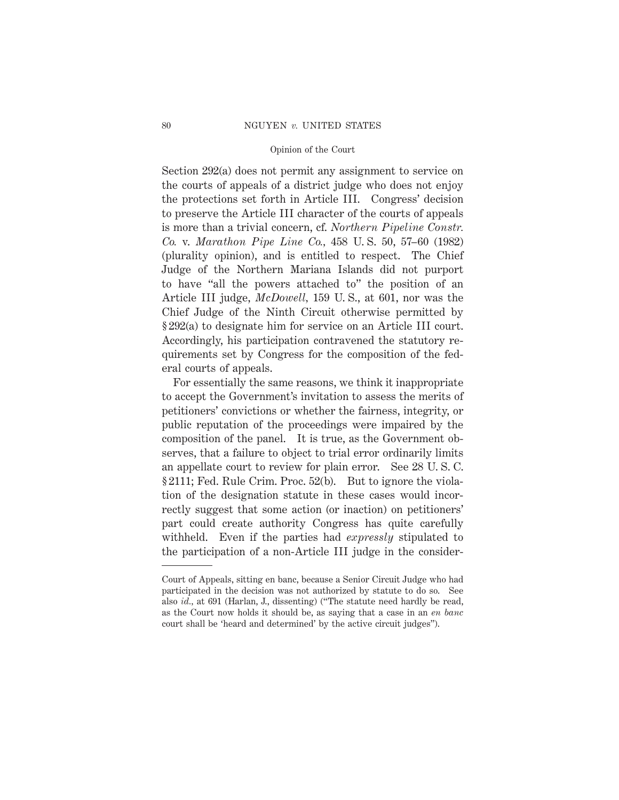Section 292(a) does not permit any assignment to service on the courts of appeals of a district judge who does not enjoy the protections set forth in Article III. Congress' decision to preserve the Article III character of the courts of appeals is more than a trivial concern, cf. *Northern Pipeline Constr. Co.* v. *Marathon Pipe Line Co.,* 458 U. S. 50, 57–60 (1982) (plurality opinion), and is entitled to respect. The Chief Judge of the Northern Mariana Islands did not purport to have "all the powers attached to" the position of an Article III judge, *McDowell,* 159 U. S., at 601, nor was the Chief Judge of the Ninth Circuit otherwise permitted by § 292(a) to designate him for service on an Article III court. Accordingly, his participation contravened the statutory requirements set by Congress for the composition of the federal courts of appeals.

For essentially the same reasons, we think it inappropriate to accept the Government's invitation to assess the merits of petitioners' convictions or whether the fairness, integrity, or public reputation of the proceedings were impaired by the composition of the panel. It is true, as the Government observes, that a failure to object to trial error ordinarily limits an appellate court to review for plain error. See 28 U. S. C. § 2111; Fed. Rule Crim. Proc. 52(b). But to ignore the violation of the designation statute in these cases would incorrectly suggest that some action (or inaction) on petitioners' part could create authority Congress has quite carefully withheld. Even if the parties had *expressly* stipulated to the participation of a non-Article III judge in the consider-

Court of Appeals, sitting en banc, because a Senior Circuit Judge who had participated in the decision was not authorized by statute to do so. See also *id.,* at 691 (Harlan, J., dissenting) ("The statute need hardly be read, as the Court now holds it should be, as saying that a case in an *en banc* court shall be 'heard and determined' by the active circuit judges").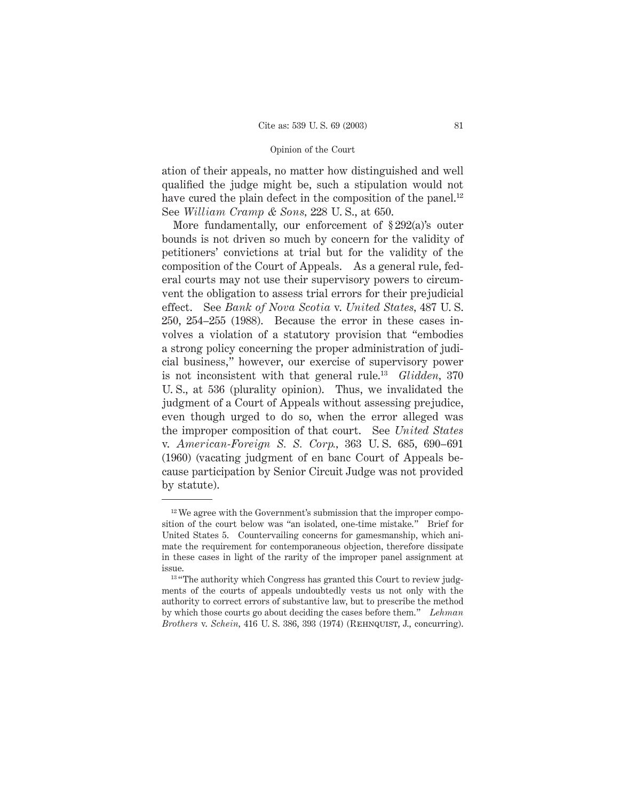ation of their appeals, no matter how distinguished and well qualified the judge might be, such a stipulation would not have cured the plain defect in the composition of the panel.<sup>12</sup> See *William Cramp & Sons,* 228 U. S., at 650.

More fundamentally, our enforcement of § 292(a)'s outer bounds is not driven so much by concern for the validity of petitioners' convictions at trial but for the validity of the composition of the Court of Appeals. As a general rule, federal courts may not use their supervisory powers to circumvent the obligation to assess trial errors for their prejudicial effect. See *Bank of Nova Scotia* v. *United States,* 487 U. S. 250, 254–255 (1988). Because the error in these cases involves a violation of a statutory provision that "embodies a strong policy concerning the proper administration of judicial business," however, our exercise of supervisory power is not inconsistent with that general rule.13 *Glidden,* 370 U. S., at 536 (plurality opinion). Thus, we invalidated the judgment of a Court of Appeals without assessing prejudice, even though urged to do so, when the error alleged was the improper composition of that court. See *United States* v. *American-Foreign S. S. Corp.,* 363 U. S. 685, 690–691 (1960) (vacating judgment of en banc Court of Appeals because participation by Senior Circuit Judge was not provided by statute).

 $12$  We agree with the Government's submission that the improper composition of the court below was "an isolated, one-time mistake." Brief for United States 5. Countervailing concerns for gamesmanship, which animate the requirement for contemporaneous objection, therefore dissipate in these cases in light of the rarity of the improper panel assignment at issue.

<sup>&</sup>lt;sup>13</sup> "The authority which Congress has granted this Court to review judgments of the courts of appeals undoubtedly vests us not only with the authority to correct errors of substantive law, but to prescribe the method by which those courts go about deciding the cases before them." *Lehman Brothers* v. *Schein,* 416 U. S. 386, 393 (1974) (Rehnquist, J., concurring).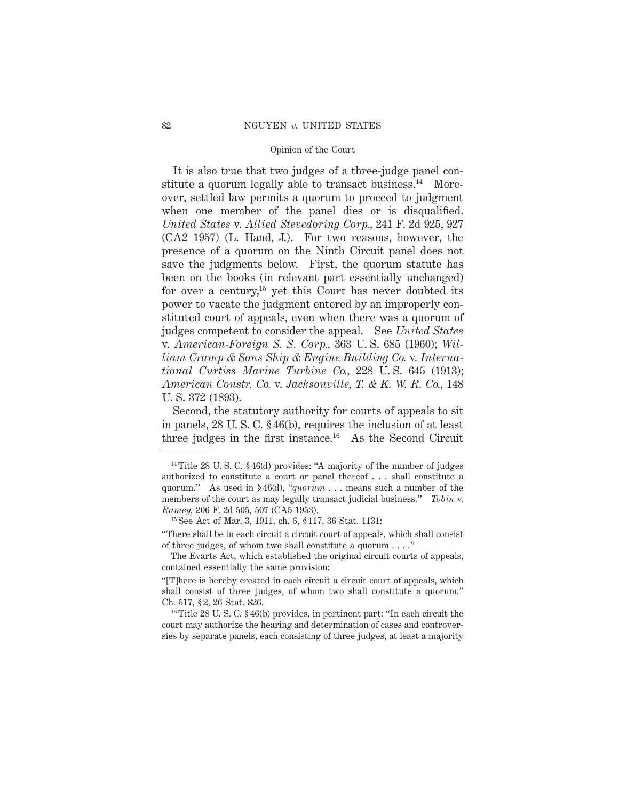It is also true that two judges of a three-judge panel constitute a quorum legally able to transact business.<sup>14</sup> Moreover, settled law permits a quorum to proceed to judgment when one member of the panel dies or is disqualified. *United States* v. *Allied Stevedoring Corp.,* 241 F. 2d 925, 927 (CA2 1957) (L. Hand, J.). For two reasons, however, the presence of a quorum on the Ninth Circuit panel does not save the judgments below. First, the quorum statute has been on the books (in relevant part essentially unchanged) for over a century,<sup>15</sup> yet this Court has never doubted its power to vacate the judgment entered by an improperly constituted court of appeals, even when there was a quorum of judges competent to consider the appeal. See *United States* v. *American-Foreign S. S. Corp.,* 363 U. S. 685 (1960); *William Cramp & Sons Ship & Engine Building Co.* v. *International Curtiss Marine Turbine Co.,* 228 U. S. 645 (1913); *American Constr. Co.* v. *Jacksonville, T. & K. W. R. Co.,* 148 U. S. 372 (1893).

Second, the statutory authority for courts of appeals to sit in panels, 28 U. S. C. § 46(b), requires the inclusion of at least three judges in the first instance. $16$  As the Second Circuit

<sup>14</sup> Title 28 U. S. C. § 46(d) provides: "A majority of the number of judges authorized to constitute a court or panel thereof . . . shall constitute a quorum." As used in § 46(d), "*quorum* . . . means such a number of the members of the court as may legally transact judicial business." *Tobin* v. *Ramey,* 206 F. 2d 505, 507 (CA5 1953).

<sup>15</sup> See Act of Mar. 3, 1911, ch. 6, § 117, 36 Stat. 1131:

<sup>&</sup>quot;There shall be in each circuit a circuit court of appeals, which shall consist of three judges, of whom two shall constitute a quorum . . . ."

The Evarts Act, which established the original circuit courts of appeals, contained essentially the same provision:

<sup>&</sup>quot;[T]here is hereby created in each circuit a circuit court of appeals, which shall consist of three judges, of whom two shall constitute a quorum." Ch. 517, § 2, 26 Stat. 826.

<sup>16</sup> Title 28 U. S. C. § 46(b) provides, in pertinent part: "In each circuit the court may authorize the hearing and determination of cases and controversies by separate panels, each consisting of three judges, at least a majority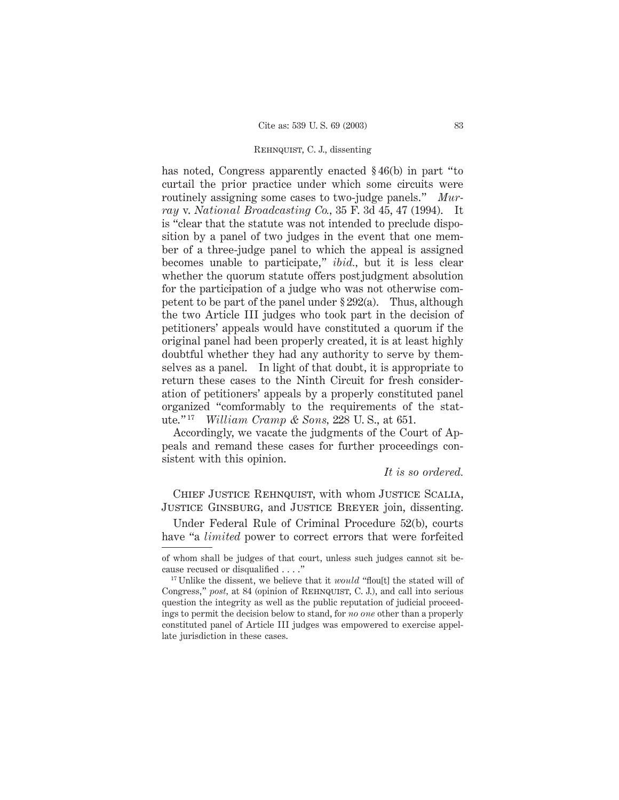has noted, Congress apparently enacted § 46(b) in part "to curtail the prior practice under which some circuits were routinely assigning some cases to two-judge panels." *Murray* v. *National Broadcasting Co.,* 35 F. 3d 45, 47 (1994). It is "clear that the statute was not intended to preclude disposition by a panel of two judges in the event that one member of a three-judge panel to which the appeal is assigned becomes unable to participate," *ibid.,* but it is less clear whether the quorum statute offers postjudgment absolution for the participation of a judge who was not otherwise competent to be part of the panel under  $\S 292(a)$ . Thus, although the two Article III judges who took part in the decision of petitioners' appeals would have constituted a quorum if the original panel had been properly created, it is at least highly doubtful whether they had any authority to serve by themselves as a panel. In light of that doubt, it is appropriate to return these cases to the Ninth Circuit for fresh consideration of petitioners' appeals by a properly constituted panel organized "comformably to the requirements of the statute." <sup>17</sup> *William Cramp & Sons,* 228 U. S., at 651.

Accordingly, we vacate the judgments of the Court of Appeals and remand these cases for further proceedings consistent with this opinion.

*It is so ordered.*

Chief Justice Rehnquist, with whom Justice Scalia, Justice Ginsburg, and Justice Breyer join, dissenting.

Under Federal Rule of Criminal Procedure 52(b), courts have "a *limited* power to correct errors that were forfeited

of whom shall be judges of that court, unless such judges cannot sit because recused or disqualified . . . ."

<sup>&</sup>lt;sup>17</sup> Unlike the dissent, we believe that it *would* "flou<sup>[t]</sup> the stated will of Congress," *post*, at 84 (opinion of REHNQUIST, C. J.), and call into serious question the integrity as well as the public reputation of judicial proceedings to permit the decision below to stand, for *no one* other than a properly constituted panel of Article III judges was empowered to exercise appellate jurisdiction in these cases.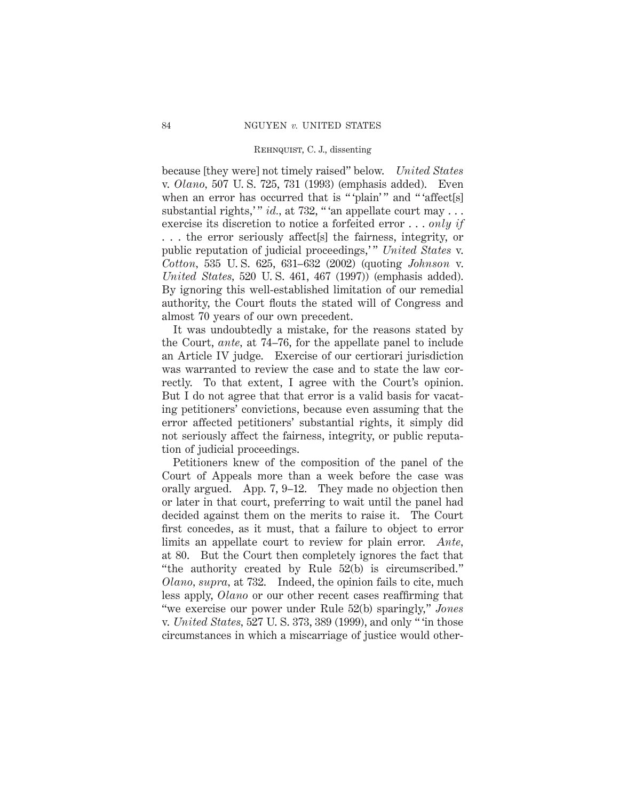because [they were] not timely raised" below. *United States* v. *Olano,* 507 U. S. 725, 731 (1993) (emphasis added). Even when an error has occurred that is "'plain'" and "'affect[s] substantial rights," *id.*, at 732, "'an appellate court may . . . exercise its discretion to notice a forfeited error . . . *only if* . . . the error seriously affect[s] the fairness, integrity, or public reputation of judicial proceedings," United States v. *Cotton,* 535 U. S. 625, 631–632 (2002) (quoting *Johnson* v. *United States,* 520 U. S. 461, 467 (1997)) (emphasis added). By ignoring this well-established limitation of our remedial authority, the Court flouts the stated will of Congress and almost 70 years of our own precedent.

It was undoubtedly a mistake, for the reasons stated by the Court, *ante,* at 74–76, for the appellate panel to include an Article IV judge. Exercise of our certiorari jurisdiction was warranted to review the case and to state the law correctly. To that extent, I agree with the Court's opinion. But I do not agree that that error is a valid basis for vacating petitioners' convictions, because even assuming that the error affected petitioners' substantial rights, it simply did not seriously affect the fairness, integrity, or public reputation of judicial proceedings.

Petitioners knew of the composition of the panel of the Court of Appeals more than a week before the case was orally argued. App. 7, 9–12. They made no objection then or later in that court, preferring to wait until the panel had decided against them on the merits to raise it. The Court first concedes, as it must, that a failure to object to error limits an appellate court to review for plain error. *Ante,* at 80. But the Court then completely ignores the fact that "the authority created by Rule 52(b) is circumscribed." *Olano, supra,* at 732. Indeed, the opinion fails to cite, much less apply, *Olano* or our other recent cases reaffirming that "we exercise our power under Rule 52(b) sparingly," *Jones* v. *United States,* 527 U. S. 373, 389 (1999), and only " 'in those circumstances in which a miscarriage of justice would other-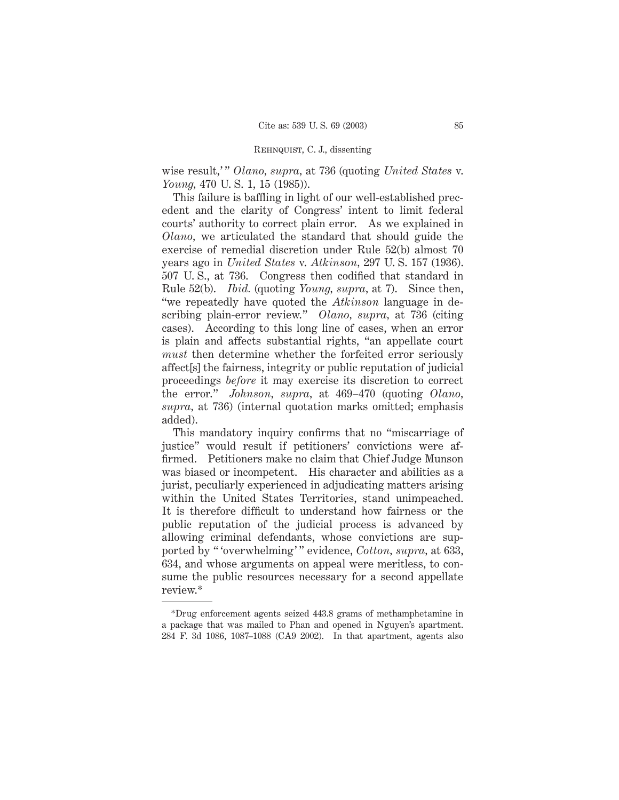wise result,'" *Olano, supra,* at 736 (quoting *United States v. Young,* 470 U. S. 1, 15 (1985)).

This failure is baffling in light of our well-established precedent and the clarity of Congress' intent to limit federal courts' authority to correct plain error. As we explained in *Olano,* we articulated the standard that should guide the exercise of remedial discretion under Rule 52(b) almost 70 years ago in *United States* v. *Atkinson,* 297 U. S. 157 (1936). 507 U. S., at 736. Congress then codified that standard in Rule 52(b). *Ibid.* (quoting *Young, supra,* at 7). Since then, "we repeatedly have quoted the *Atkinson* language in describing plain-error review." *Olano, supra,* at 736 (citing cases). According to this long line of cases, when an error is plain and affects substantial rights, "an appellate court *must* then determine whether the forfeited error seriously affect[s] the fairness, integrity or public reputation of judicial proceedings *before* it may exercise its discretion to correct the error." *Johnson, supra,* at 469–470 (quoting *Olano, supra,* at 736) (internal quotation marks omitted; emphasis added).

This mandatory inquiry confirms that no "miscarriage of justice" would result if petitioners' convictions were affirmed. Petitioners make no claim that Chief Judge Munson was biased or incompetent. His character and abilities as a jurist, peculiarly experienced in adjudicating matters arising within the United States Territories, stand unimpeached. It is therefore difficult to understand how fairness or the public reputation of the judicial process is advanced by allowing criminal defendants, whose convictions are supported by " 'overwhelming' " evidence, *Cotton, supra,* at 633, 634, and whose arguments on appeal were meritless, to consume the public resources necessary for a second appellate review.\*

<sup>\*</sup>Drug enforcement agents seized 443.8 grams of methamphetamine in a package that was mailed to Phan and opened in Nguyen's apartment. 284 F. 3d 1086, 1087–1088 (CA9 2002). In that apartment, agents also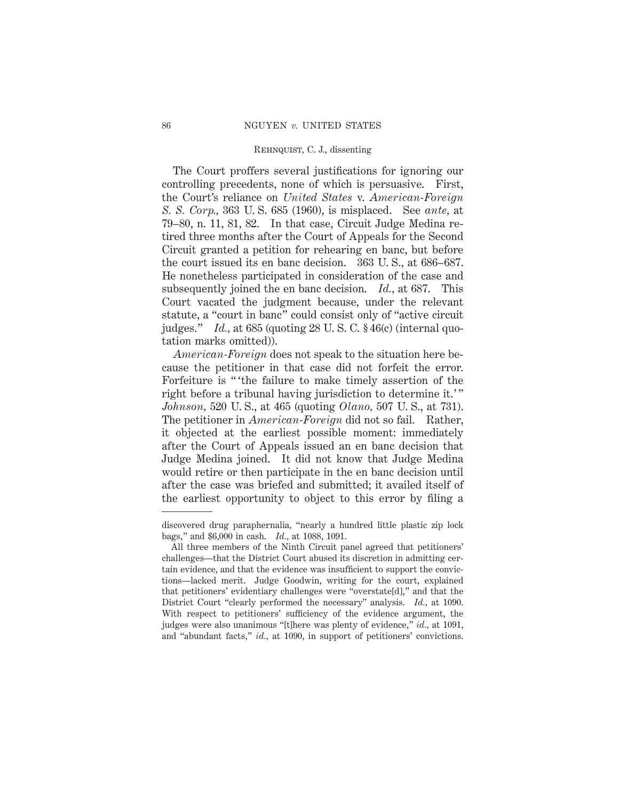The Court proffers several justifications for ignoring our controlling precedents, none of which is persuasive. First, the Court's reliance on *United States* v. *American-Foreign S. S. Corp.,* 363 U. S. 685 (1960), is misplaced. See *ante,* at 79–80, n. 11, 81, 82. In that case, Circuit Judge Medina retired three months after the Court of Appeals for the Second Circuit granted a petition for rehearing en banc, but before the court issued its en banc decision. 363 U. S., at 686–687. He nonetheless participated in consideration of the case and subsequently joined the en banc decision. *Id.,* at 687. This Court vacated the judgment because, under the relevant statute, a "court in banc" could consist only of "active circuit judges." *Id.,* at 685 (quoting 28 U. S. C. § 46(c) (internal quotation marks omitted)).

*American-Foreign* does not speak to the situation here because the petitioner in that case did not forfeit the error. Forfeiture is " 'the failure to make timely assertion of the right before a tribunal having jurisdiction to determine it.'" *Johnson,* 520 U. S., at 465 (quoting *Olano,* 507 U. S., at 731). The petitioner in *American-Foreign* did not so fail. Rather, it objected at the earliest possible moment: immediately after the Court of Appeals issued an en banc decision that Judge Medina joined. It did not know that Judge Medina would retire or then participate in the en banc decision until after the case was briefed and submitted; it availed itself of the earliest opportunity to object to this error by filing a

discovered drug paraphernalia, "nearly a hundred little plastic zip lock bags," and \$6,000 in cash. *Id.,* at 1088, 1091.

All three members of the Ninth Circuit panel agreed that petitioners' challenges—that the District Court abused its discretion in admitting certain evidence, and that the evidence was insufficient to support the convictions—lacked merit. Judge Goodwin, writing for the court, explained that petitioners' evidentiary challenges were "overstate[d]," and that the District Court "clearly performed the necessary" analysis. *Id.,* at 1090. With respect to petitioners' sufficiency of the evidence argument, the judges were also unanimous "[t]here was plenty of evidence," *id.,* at 1091, and "abundant facts," *id.,* at 1090, in support of petitioners' convictions.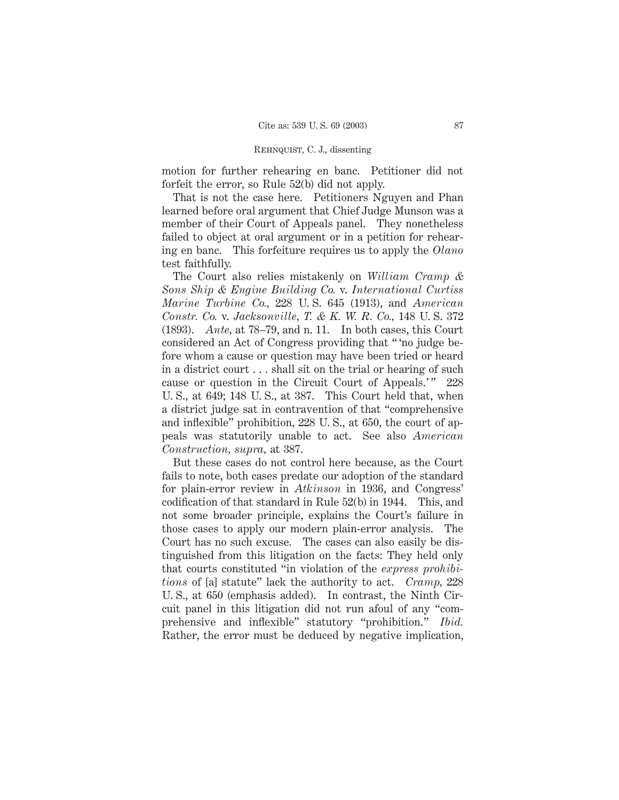motion for further rehearing en banc. Petitioner did not forfeit the error, so Rule 52(b) did not apply.

That is not the case here. Petitioners Nguyen and Phan learned before oral argument that Chief Judge Munson was a member of their Court of Appeals panel. They nonetheless failed to object at oral argument or in a petition for rehearing en banc. This forfeiture requires us to apply the *Olano* test faithfully.

The Court also relies mistakenly on *William Cramp & Sons Ship & Engine Building Co.* v. *International Curtiss Marine Turbine Co.,* 228 U. S. 645 (1913), and *American Constr. Co.* v. *Jacksonville, T. & K. W. R. Co.,* 148 U. S. 372 (1893). *Ante,* at 78–79, and n. 11. In both cases, this Court considered an Act of Congress providing that " 'no judge before whom a cause or question may have been tried or heard in a district court . . . shall sit on the trial or hearing of such cause or question in the Circuit Court of Appeals.'" 228 U. S., at 649; 148 U. S., at 387. This Court held that, when a district judge sat in contravention of that "comprehensive and inflexible" prohibition, 228 U. S., at 650, the court of appeals was statutorily unable to act. See also *American Construction, supra,* at 387.

But these cases do not control here because, as the Court fails to note, both cases predate our adoption of the standard for plain-error review in *Atkinson* in 1936, and Congress' codification of that standard in Rule 52(b) in 1944. This, and not some broader principle, explains the Court's failure in those cases to apply our modern plain-error analysis. The Court has no such excuse. The cases can also easily be distinguished from this litigation on the facts: They held only that courts constituted "in violation of the *express prohibitions* of [a] statute" lack the authority to act. *Cramp,* 228 U. S., at 650 (emphasis added). In contrast, the Ninth Circuit panel in this litigation did not run afoul of any "comprehensive and inflexible" statutory "prohibition." *Ibid.* Rather, the error must be deduced by negative implication,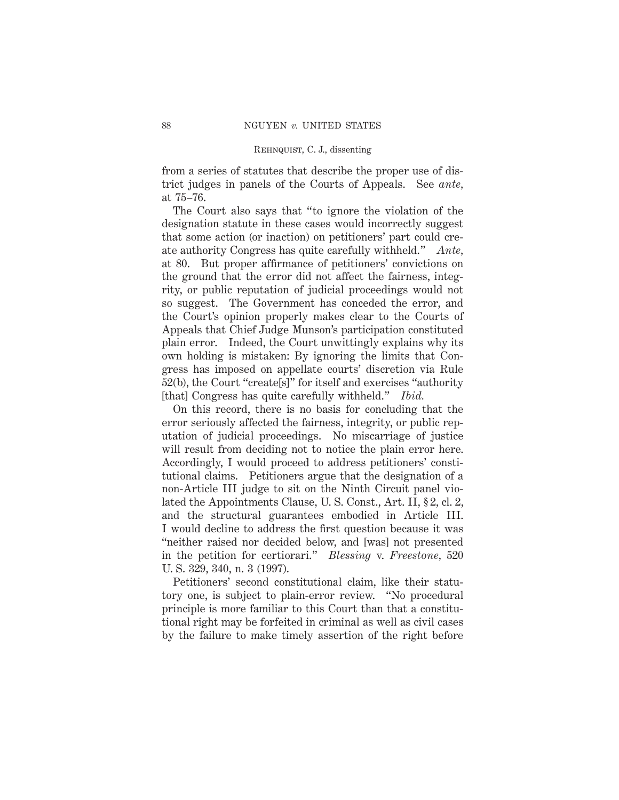from a series of statutes that describe the proper use of district judges in panels of the Courts of Appeals. See *ante,* at 75–76.

The Court also says that "to ignore the violation of the designation statute in these cases would incorrectly suggest that some action (or inaction) on petitioners' part could create authority Congress has quite carefully withheld." *Ante,* at 80. But proper affirmance of petitioners' convictions on the ground that the error did not affect the fairness, integrity, or public reputation of judicial proceedings would not so suggest. The Government has conceded the error, and the Court's opinion properly makes clear to the Courts of Appeals that Chief Judge Munson's participation constituted plain error. Indeed, the Court unwittingly explains why its own holding is mistaken: By ignoring the limits that Congress has imposed on appellate courts' discretion via Rule 52(b), the Court "create[s]" for itself and exercises "authority [that] Congress has quite carefully withheld." *Ibid.*

On this record, there is no basis for concluding that the error seriously affected the fairness, integrity, or public reputation of judicial proceedings. No miscarriage of justice will result from deciding not to notice the plain error here. Accordingly, I would proceed to address petitioners' constitutional claims. Petitioners argue that the designation of a non-Article III judge to sit on the Ninth Circuit panel violated the Appointments Clause, U. S. Const., Art. II, § 2, cl. 2, and the structural guarantees embodied in Article III. I would decline to address the first question because it was "neither raised nor decided below, and [was] not presented in the petition for certiorari." *Blessing* v. *Freestone,* 520 U. S. 329, 340, n. 3 (1997).

Petitioners' second constitutional claim, like their statutory one, is subject to plain-error review. "No procedural principle is more familiar to this Court than that a constitutional right may be forfeited in criminal as well as civil cases by the failure to make timely assertion of the right before